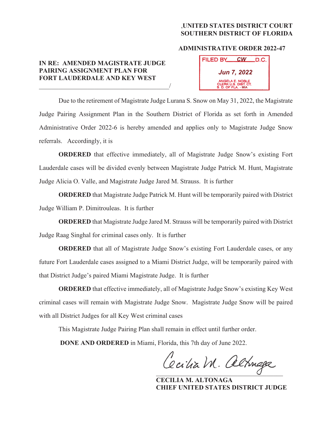## ,**UNITED STATES DISTRICT COURT SOUTHERN DISTRICT OF FLORIDA**

## **ADMINISTRATIVE ORDER 2022-47**

## **IN RE: AMENDED MAGISTRATE JUDGE PAIRING ASSIGNMENT PLAN FOR FORT LAUDERDALE AND KEY WEST**   $\overline{\phantom{a}}$

| FILED BY                                                       | <b>CW</b> | $\_D.C.$ |
|----------------------------------------------------------------|-----------|----------|
| <b>Jun 7, 2022</b>                                             |           |          |
| ANGELA E. NOBLE<br>CLERK U.S. DIST. CT.<br>S. D. OF FLA. - MIA |           |          |

Due to the retirement of Magistrate Judge Lurana S. Snow on May 31, 2022, the Magistrate Judge Pairing Assignment Plan in the Southern District of Florida as set forth in Amended Administrative Order 2022-6 is hereby amended and applies only to Magistrate Judge Snow referrals. Accordingly, it is

**ORDERED** that effective immediately, all of Magistrate Judge Snow's existing Fort Lauderdale cases will be divided evenly between Magistrate Judge Patrick M. Hunt, Magistrate Judge Alicia O. Valle, and Magistrate Judge Jared M. Strauss. It is further

**ORDERED** that Magistrate Judge Patrick M. Hunt will be temporarily paired with District Judge William P. Dimitrouleas. It is further

**ORDERED** that Magistrate Judge Jared M. Strauss will be temporarily paired with District Judge Raag Singhal for criminal cases only. It is further

**ORDERED** that all of Magistrate Judge Snow's existing Fort Lauderdale cases, or any future Fort Lauderdale cases assigned to a Miami District Judge, will be temporarily paired with that District Judge's paired Miami Magistrate Judge. It is further

**ORDERED** that effective immediately, all of Magistrate Judge Snow's existing Key West criminal cases will remain with Magistrate Judge Snow. Magistrate Judge Snow will be paired with all District Judges for all Key West criminal cases

This Magistrate Judge Pairing Plan shall remain in effect until further order.

**DONE AND ORDERED** in Miami, Florida, this 7th day of June 2022.

Cecilia M. altriaga

 **CECILIA M. ALTONAGA CHIEF UNITED STATES DISTRICT JUDGE**